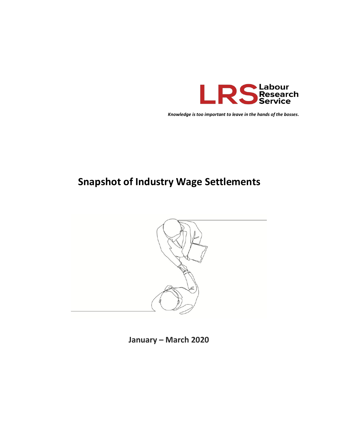

Knowledge is too important to leave in the hands of the bosses.

## **Snapshot of Industry Wage Settlements**



January - March 2020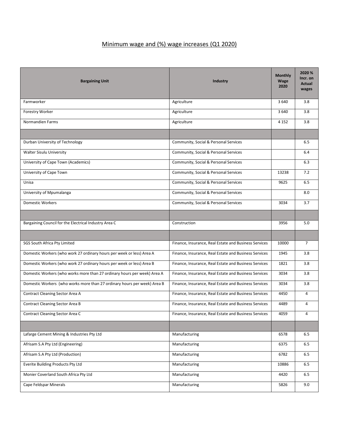## Minimum wage and (%) wage increases (Q1 2020)

| <b>Bargaining Unit</b>                                                   | <b>Industry</b>                                       | <b>Monthly</b><br><b>Wage</b><br>2020 | 2020 %<br>Incr. on<br><b>Actual</b><br>wages |
|--------------------------------------------------------------------------|-------------------------------------------------------|---------------------------------------|----------------------------------------------|
| Farmworker                                                               | Agriculture                                           | 3640                                  | 3.8                                          |
| Forestry Worker                                                          | Agriculture                                           | 3 6 4 0                               | 3.8                                          |
| Normandien Farms                                                         | Agriculture                                           | 4 1 5 2                               | 3.8                                          |
|                                                                          |                                                       |                                       |                                              |
| Durban University of Technology                                          | Community, Social & Personal Services                 |                                       | 6.5                                          |
| Walter Sisulu University                                                 | Community, Social & Personal Services                 |                                       | 6.4                                          |
| University of Cape Town (Academics)                                      | Community, Social & Personal Services                 |                                       | 6.3                                          |
| University of Cape Town                                                  | Community, Social & Personal Services                 | 13238                                 | 7.2                                          |
| Unisa                                                                    | Community, Social & Personal Services                 | 9625                                  | 6.5                                          |
| University of Mpumalanga                                                 | Community, Social & Personal Services                 |                                       | 8.0                                          |
| <b>Domestic Workers</b>                                                  | Community, Social & Personal Services                 | 3034                                  | 3.7                                          |
|                                                                          |                                                       |                                       |                                              |
| Bargaining Council for the Electrical Industry Area C                    | Construction                                          | 3956                                  | 5.0                                          |
|                                                                          |                                                       |                                       |                                              |
| SGS South Africa Pty Limited                                             | Finance, Insurance, Real Estate and Business Services | 10000                                 | $\overline{7}$                               |
| Domestic Workers (who work 27 ordinary hours per week or less) Area A    | Finance, Insurance, Real Estate and Business Services | 1945                                  | 3.8                                          |
| Domestic Workers (who work 27 ordinary hours per week or less) Area B    | Finance, Insurance, Real Estate and Business Services | 1821                                  | 3.8                                          |
| Domestic Workers (who works more than 27 ordinary hours per week) Area A | Finance, Insurance, Real Estate and Business Services | 3034                                  | 3.8                                          |
| Domestic Workers (who works more than 27 ordinary hours per week) Area B | Finance, Insurance, Real Estate and Business Services | 3034                                  | 3.8                                          |
| Contract Cleaning Sector Area A                                          | Finance, Insurance, Real Estate and Business Services | 4450                                  | 4                                            |
| <b>Contract Cleaning Sector Area B</b>                                   | Finance, Insurance, Real Estate and Business Services | 4489                                  | 4                                            |
| Contract Cleaning Sector Area C                                          | Finance, Insurance, Real Estate and Business Services | 4059                                  | 4                                            |
|                                                                          |                                                       |                                       |                                              |
| Lafarge Cement Mining & Industries Pty Ltd                               | Manufacturing                                         | 6578                                  | 6.5                                          |
| Afrisam S.A Pty Ltd (Engineering)                                        | Manufacturing                                         | 6375                                  | $6.5\,$                                      |
| Afrisam S.A Pty Ltd (Production)                                         | Manufacturing                                         | 6782                                  | 6.5                                          |
| Everite Building Products Pty Ltd                                        | Manufacturing                                         | 10886                                 | 6.5                                          |
| Monier Coverland South Africa Pty Ltd                                    | Manufacturing                                         | 4420                                  | 6.5                                          |
| Cape Feldspar Minerals                                                   | Manufacturing                                         | 5826                                  | 9.0                                          |